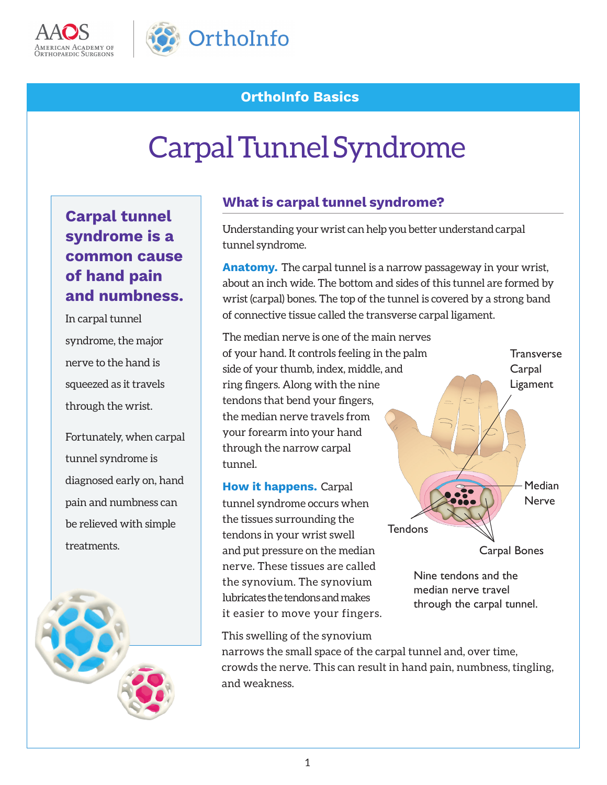



## **OrthoInfo Basics**

# Carpal Tunnel Syndrome

# **Carpal tunnel syndrome is a common cause of hand pain and numbness.**

In carpal tunnel syndrome, the major nerve to the hand is squeezed as it travels through the wrist.

Fortunately, when carpal tunnel syndrome is diagnosed early on, hand pain and numbness can be relieved with simple treatments.



#### **What is carpal tunnel syndrome?**

Understanding your wrist can help you better understand carpal tunnel syndrome.

**Anatomy.** The carpal tunnel is a narrow passageway in your wrist, about an inch wide. The bottom and sides of this tunnel are formed by wrist (carpal) bones. The top of the tunnel is covered by a strong band of connective tissue called the transverse carpal ligament.

The median nerve is one of the main nerves of your hand. It controls feeling in the palm side of your thumb, index, middle, and ring fingers. Along with the nine tendons that bend your fingers, the median nerve travels from your forearm into your hand through the narrow carpal tunnel.

**How it happens.** Carpal tunnel syndrome occurs when the tissues surrounding the tendons in your wrist swell and put pressure on the median nerve. These tissues are called the synovium. The synovium lubricates the tendons and makes it easier to move your fingers.

This swelling of the synovium

narrows the small space of the carpal tunnel and, over time, crowds the nerve. This can result in hand pain, numbness, tingling, and weakness.

**Tendons** 

Carpal Bones

**Median Nerve** 

**Transverse Carpal** Ligament

Nine tendons and the median nerve travel

through the carpal tunnel.

1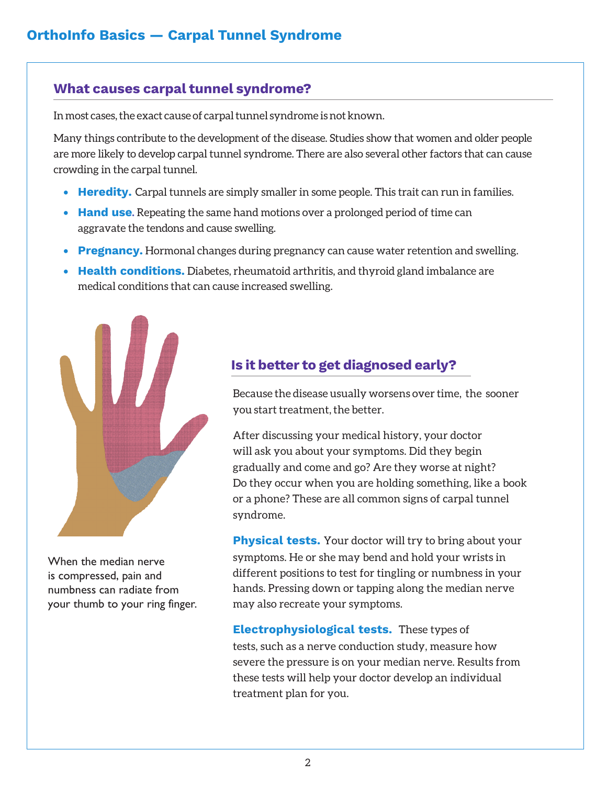#### **What causes carpal tunnel syndrome?**

In most cases, the exact cause of carpal tunnel syndrome is not known.

Many things contribute to the development of the disease. Studies show that women and older people are more likely to develop carpal tunnel syndrome. There are also several other factors that can cause crowding in the carpal tunnel.

- **Heredity.** Carpal tunnels are simply smaller in some people. This trait can run in families.
- **Hand use.** Repeating the same hand motions over a prolonged period of time can aggravate the tendons and cause swelling.
- **Pregnancy.** Hormonal changes during pregnancy can cause water retention and swelling.
- **Health conditions.** Diabetes, rheumatoid arthritis, and thyroid gland imbalance are medical conditions that can cause increased swelling.



When the median nerve is compressed, pain and numbness can radiate from your thumb to your ring finger.

### **Is it better to get diagnosed early?**

Because the disease usually worsens over time, the sooner you start treatment, the better.

After discussing your medical history, your doctor will ask you about your symptoms. Did they begin gradually and come and go? Are they worse at night? Do they occur when you are holding something, like a book or a phone? These are all common signs of carpal tunnel syndrome.

**Physical tests.** Your doctor will try to bring about your symptoms. He or she may bend and hold your wrists in different positions to test for tingling or numbness in your hands. Pressing down or tapping along the median nerve may also recreate your symptoms.

**Electrophysiological tests.** These types of tests, such as a nerve conduction study, measure how severe the pressure is on your median nerve. Results from these tests will help your doctor develop an individual treatment plan for you.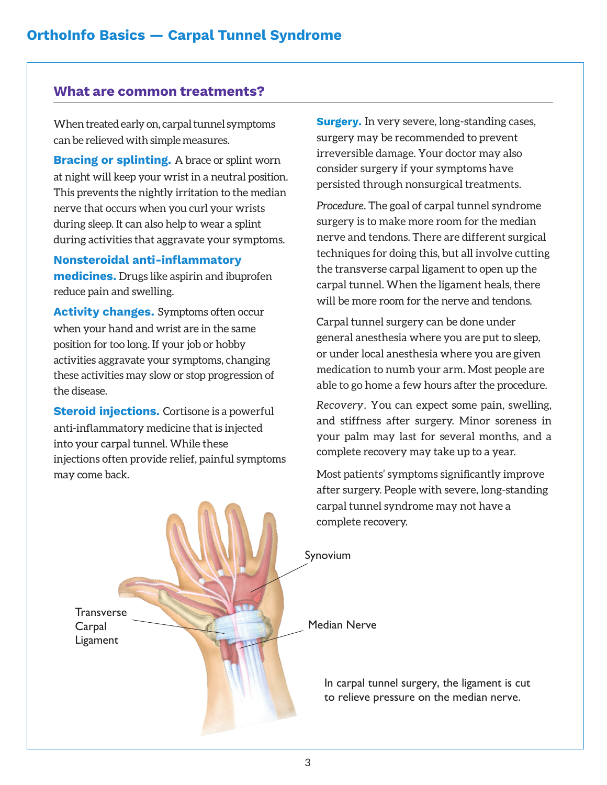#### **What are common treatments?**

When treated early on, carpal tunnel symptoms can be relieved with simple measures.

**Bracing or splinting.** A brace or splint worn at night will keep your wrist in a neutral position. This prevents the nightly irritation to the median nerve that occurs when you curl your wrists during sleep. It can also help to wear a splint during activities that aggravate your symptoms.

**Nonsteroidal anti-inflammatory medicines.** Drugs like aspirin and ibuprofen reduce pain and swelling.

**Activity changes.** Symptoms often occur when your hand and wrist are in the same position for too long. If your job or hobby activities aggravate your symptoms, changing these activities may slow or stop progression of the disease.

**Steroid injections.** Cortisone is a powerful anti-inflammatory medicine that is injected into your carpal tunnel. While these injections often provide relief, painful symptoms may come back.

**Surgery.** In very severe, long-standing cases, surgery may be recommended to prevent irreversible damage. Your doctor may also consider surgery if your symptoms have persisted through nonsurgical treatments.

*Procedure.* The goal of carpal tunnel syndrome surgery is to make more room for the median nerve and tendons. There are different surgical techniques for doing this, but all involve cutting the transverse carpal ligament to open up the carpal tunnel. When the ligament heals, there will be more room for the nerve and tendons.

Carpal tunnel surgery can be done under general anesthesia where you are put to sleep, or under local anesthesia where you are given medication to numb your arm. Most people are able to go home a few hours after the procedure.

*Recovery.* You can expect some pain, swelling, and stiffness after surgery. Minor soreness in your palm may last for several months, and a complete recovery may take up to a year.

Most patients' symptoms significantly improve after surgery. People with severe, long-standing carpal tunnel syndrome may not have a complete recovery.

**Transverse** Carpal Ligament

Synovium

Median Nerve

In carpal tunnel surgery, the ligament is cut to relieve pressure on the median nerve.